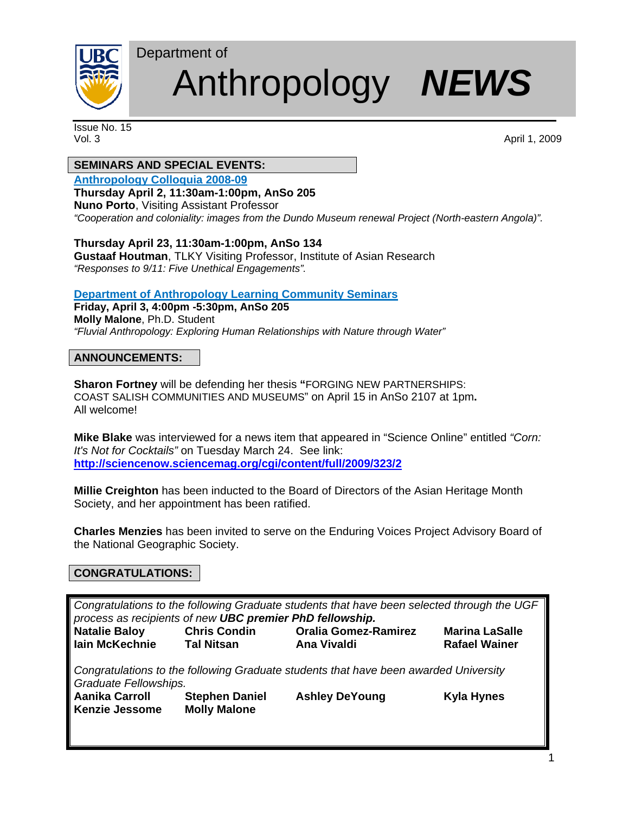

# Anthropology *NEWS*

Issue No. 15

Vol. 3 April 1, 2009

# **SEMINARS AND SPECIAL EVENTS:**

Department of

**Anthropology Colloquia 2008-09** 

**Thursday April 2, 11:30am-1:00pm, AnSo 205** 

**Nuno Porto**, Visiting Assistant Professor *"Cooperation and coloniality: images from the Dundo Museum renewal Project (North-eastern Angola)".* 

# **Thursday April 23, 11:30am-1:00pm, AnSo 134**

**Gustaaf Houtman**, TLKY Visiting Professor, Institute of Asian Research *"Responses to 9/11: Five Unethical Engagements".* 

# **Department of Anthropology Learning Community Seminars**

**Friday, April 3, 4:00pm -5:30pm, AnSo 205 Molly Malone**, Ph.D. Student *"Fluvial Anthropology: Exploring Human Relationships with Nature through Water"* 

# **ANNOUNCEMENTS:**

**Sharon Fortney** will be defending her thesis **"**FORGING NEW PARTNERSHIPS: COAST SALISH COMMUNITIES AND MUSEUMS" on April 15 in AnSo 2107 at 1pm**.**  All welcome!

**Mike Blake** was interviewed for a news item that appeared in "Science Online" entitled *"Corn: It's Not for Cocktails"* on Tuesday March 24. See link: **http://sciencenow.sciencemag.org/cgi/content/full/2009/323/2**

**Millie Creighton** has been inducted to the Board of Directors of the Asian Heritage Month Society, and her appointment has been ratified.

**Charles Menzies** has been invited to serve on the Enduring Voices Project Advisory Board of the National Geographic Society.

# **CONGRATULATIONS:**

| Congratulations to the following Graduate students that have been selected through the UGF<br>process as recipients of new UBC premier PhD fellowship. |                                              |                                            |                                               |
|--------------------------------------------------------------------------------------------------------------------------------------------------------|----------------------------------------------|--------------------------------------------|-----------------------------------------------|
| <b>Natalie Baloy</b><br><b>lain McKechnie</b>                                                                                                          | <b>Chris Condin</b><br><b>Tal Nitsan</b>     | <b>Oralia Gomez-Ramirez</b><br>Ana Vivaldi | <b>Marina LaSalle</b><br><b>Rafael Wainer</b> |
| Congratulations to the following Graduate students that have been awarded University<br>Graduate Fellowships.                                          |                                              |                                            |                                               |
| <b>Aanika Carroll</b><br><b>Kenzie Jessome</b>                                                                                                         | <b>Stephen Daniel</b><br><b>Molly Malone</b> | <b>Ashley DeYoung</b>                      | <b>Kyla Hynes</b>                             |
|                                                                                                                                                        |                                              |                                            |                                               |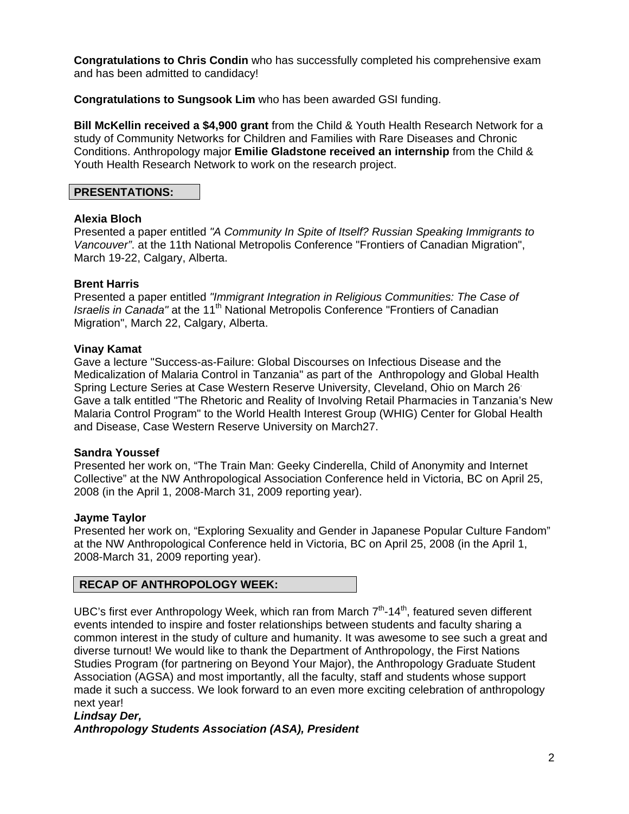**Congratulations to Chris Condin** who has successfully completed his comprehensive exam and has been admitted to candidacy!

**Congratulations to Sungsook Lim** who has been awarded GSI funding.

**Bill McKellin received a \$4,900 grant** from the Child & Youth Health Research Network for a study of Community Networks for Children and Families with Rare Diseases and Chronic Conditions. Anthropology major **Emilie Gladstone received an internship** from the Child & Youth Health Research Network to work on the research project.

## **PRESENTATIONS:**

#### **Alexia Bloch**

Presented a paper entitled *"A Community In Spite of Itself? Russian Speaking Immigrants to Vancouver"*. at the 11th National Metropolis Conference "Frontiers of Canadian Migration", March 19-22, Calgary, Alberta.

## **Brent Harris**

Presented a paper entitled *"Immigrant Integration in Religious Communities: The Case of Israelis in Canada"* at the 11<sup>th</sup> National Metropolis Conference "Frontiers of Canadian Migration", March 22, Calgary, Alberta.

## **Vinay Kamat**

Gave a lecture "Success-as-Failure: Global Discourses on Infectious Disease and the Medicalization of Malaria Control in Tanzania" as part of the Anthropology and Global Health Spring Lecture Series at Case Western Reserve University, Cleveland, Ohio on March 26. Gave a talk entitled "The Rhetoric and Reality of Involving Retail Pharmacies in Tanzania's New Malaria Control Program" to the World Health Interest Group (WHIG) Center for Global Health and Disease, Case Western Reserve University on March27.

#### **Sandra Youssef**

Presented her work on, "The Train Man: Geeky Cinderella, Child of Anonymity and Internet Collective" at the NW Anthropological Association Conference held in Victoria, BC on April 25, 2008 (in the April 1, 2008-March 31, 2009 reporting year).

#### **Jayme Taylor**

Presented her work on, "Exploring Sexuality and Gender in Japanese Popular Culture Fandom" at the NW Anthropological Conference held in Victoria, BC on April 25, 2008 (in the April 1, 2008-March 31, 2009 reporting year).

# **RECAP OF ANTHROPOLOGY WEEK:**

UBC's first ever Anthropology Week, which ran from March  $7<sup>th</sup>$ -14<sup>th</sup>, featured seven different events intended to inspire and foster relationships between students and faculty sharing a common interest in the study of culture and humanity. It was awesome to see such a great and diverse turnout! We would like to thank the Department of Anthropology, the First Nations Studies Program (for partnering on Beyond Your Major), the Anthropology Graduate Student Association (AGSA) and most importantly, all the faculty, staff and students whose support made it such a success. We look forward to an even more exciting celebration of anthropology next year!

#### *Lindsay Der,*

*Anthropology Students Association (ASA), President*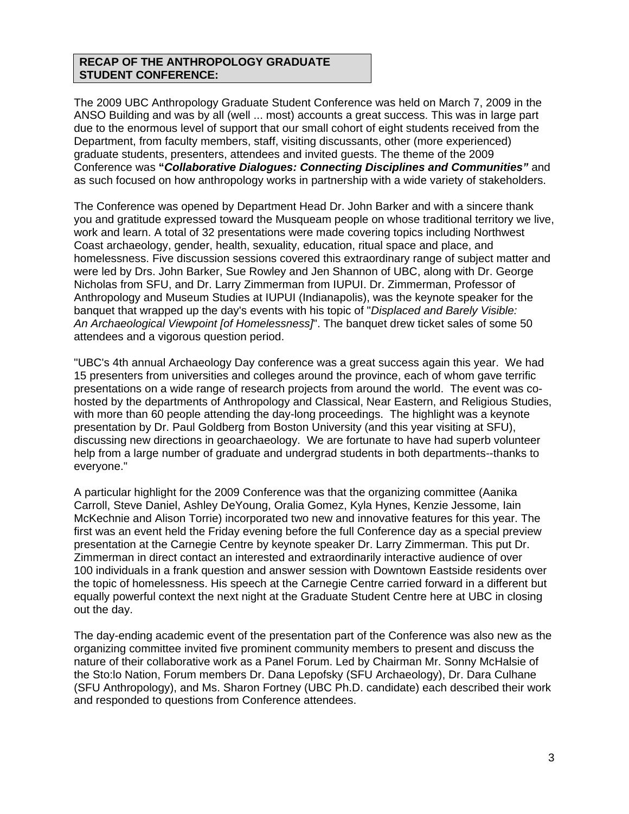## **RECAP OF THE ANTHROPOLOGY GRADUATE STUDENT CONFERENCE:**

The 2009 UBC Anthropology Graduate Student Conference was held on March 7, 2009 in the ANSO Building and was by all (well ... most) accounts a great success. This was in large part due to the enormous level of support that our small cohort of eight students received from the Department, from faculty members, staff, visiting discussants, other (more experienced) graduate students, presenters, attendees and invited guests. The theme of the 2009 Conference was **"***Collaborative Dialogues: Connecting Disciplines and Communities"* and as such focused on how anthropology works in partnership with a wide variety of stakeholders.

The Conference was opened by Department Head Dr. John Barker and with a sincere thank you and gratitude expressed toward the Musqueam people on whose traditional territory we live, work and learn. A total of 32 presentations were made covering topics including Northwest Coast archaeology, gender, health, sexuality, education, ritual space and place, and homelessness. Five discussion sessions covered this extraordinary range of subject matter and were led by Drs. John Barker, Sue Rowley and Jen Shannon of UBC, along with Dr. George Nicholas from SFU, and Dr. Larry Zimmerman from IUPUI. Dr. Zimmerman, Professor of Anthropology and Museum Studies at IUPUI (Indianapolis), was the keynote speaker for the banquet that wrapped up the day's events with his topic of "*Displaced and Barely Visible: An Archaeological Viewpoint [of Homelessness]*". The banquet drew ticket sales of some 50 attendees and a vigorous question period.

"UBC's 4th annual Archaeology Day conference was a great success again this year. We had 15 presenters from universities and colleges around the province, each of whom gave terrific presentations on a wide range of research projects from around the world. The event was cohosted by the departments of Anthropology and Classical, Near Eastern, and Religious Studies, with more than 60 people attending the day-long proceedings. The highlight was a keynote presentation by Dr. Paul Goldberg from Boston University (and this year visiting at SFU), discussing new directions in geoarchaeology. We are fortunate to have had superb volunteer help from a large number of graduate and undergrad students in both departments--thanks to everyone."

A particular highlight for the 2009 Conference was that the organizing committee (Aanika Carroll, Steve Daniel, Ashley DeYoung, Oralia Gomez, Kyla Hynes, Kenzie Jessome, Iain McKechnie and Alison Torrie) incorporated two new and innovative features for this year. The first was an event held the Friday evening before the full Conference day as a special preview presentation at the Carnegie Centre by keynote speaker Dr. Larry Zimmerman. This put Dr. Zimmerman in direct contact an interested and extraordinarily interactive audience of over 100 individuals in a frank question and answer session with Downtown Eastside residents over the topic of homelessness. His speech at the Carnegie Centre carried forward in a different but equally powerful context the next night at the Graduate Student Centre here at UBC in closing out the day.

The day-ending academic event of the presentation part of the Conference was also new as the organizing committee invited five prominent community members to present and discuss the nature of their collaborative work as a Panel Forum. Led by Chairman Mr. Sonny McHalsie of the Sto:lo Nation, Forum members Dr. Dana Lepofsky (SFU Archaeology), Dr. Dara Culhane (SFU Anthropology), and Ms. Sharon Fortney (UBC Ph.D. candidate) each described their work and responded to questions from Conference attendees.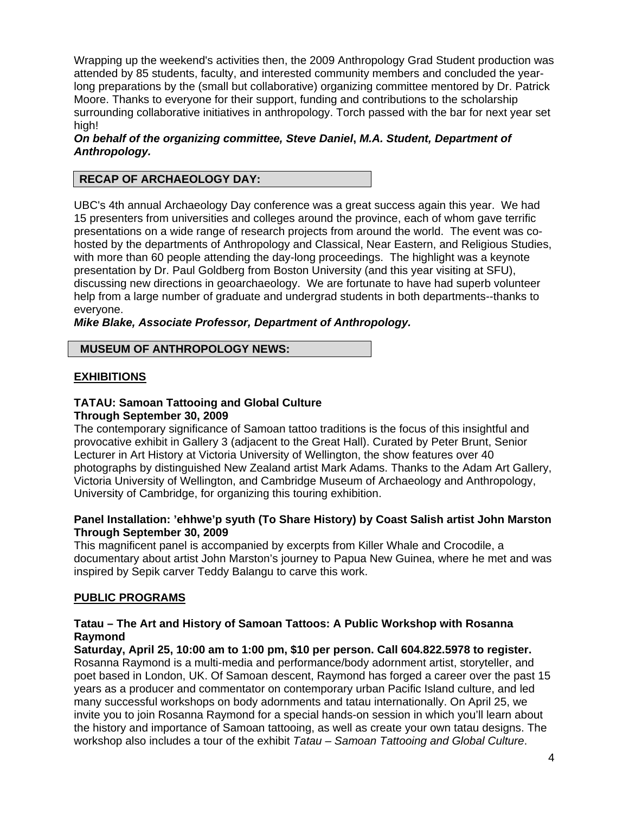Wrapping up the weekend's activities then, the 2009 Anthropology Grad Student production was attended by 85 students, faculty, and interested community members and concluded the yearlong preparations by the (small but collaborative) organizing committee mentored by Dr. Patrick Moore. Thanks to everyone for their support, funding and contributions to the scholarship surrounding collaborative initiatives in anthropology. Torch passed with the bar for next year set high!

# *On behalf of the organizing committee, Steve Daniel***,** *M.A. Student, Department of Anthropology.*

# **RECAP OF ARCHAEOLOGY DAY:**

UBC's 4th annual Archaeology Day conference was a great success again this year. We had 15 presenters from universities and colleges around the province, each of whom gave terrific presentations on a wide range of research projects from around the world. The event was cohosted by the departments of Anthropology and Classical, Near Eastern, and Religious Studies, with more than 60 people attending the day-long proceedings. The highlight was a keynote presentation by Dr. Paul Goldberg from Boston University (and this year visiting at SFU), discussing new directions in geoarchaeology. We are fortunate to have had superb volunteer help from a large number of graduate and undergrad students in both departments--thanks to everyone.

*Mike Blake, Associate Professor, Department of Anthropology.*

# **MUSEUM OF ANTHROPOLOGY NEWS:**

# **EXHIBITIONS**

## **TATAU: Samoan Tattooing and Global Culture Through September 30, 2009**

The contemporary significance of Samoan tattoo traditions is the focus of this insightful and provocative exhibit in Gallery 3 (adjacent to the Great Hall). Curated by Peter Brunt, Senior Lecturer in Art History at Victoria University of Wellington, the show features over 40 photographs by distinguished New Zealand artist Mark Adams. Thanks to the Adam Art Gallery, Victoria University of Wellington, and Cambridge Museum of Archaeology and Anthropology, University of Cambridge, for organizing this touring exhibition.

# **Panel Installation: 'ehhwe'p syuth (To Share History) by Coast Salish artist John Marston Through September 30, 2009**

This magnificent panel is accompanied by excerpts from Killer Whale and Crocodile, a documentary about artist John Marston's journey to Papua New Guinea, where he met and was inspired by Sepik carver Teddy Balangu to carve this work.

# **PUBLIC PROGRAMS**

# **Tatau – The Art and History of Samoan Tattoos: A Public Workshop with Rosanna Raymond**

**Saturday, April 25, 10:00 am to 1:00 pm, \$10 per person. Call 604.822.5978 to register.** Rosanna Raymond is a multi-media and performance/body adornment artist, storyteller, and poet based in London, UK. Of Samoan descent, Raymond has forged a career over the past 15 years as a producer and commentator on contemporary urban Pacific Island culture, and led many successful workshops on body adornments and tatau internationally. On April 25, we invite you to join Rosanna Raymond for a special hands-on session in which you'll learn about the history and importance of Samoan tattooing, as well as create your own tatau designs. The workshop also includes a tour of the exhibit *Tatau – Samoan Tattooing and Global Culture*.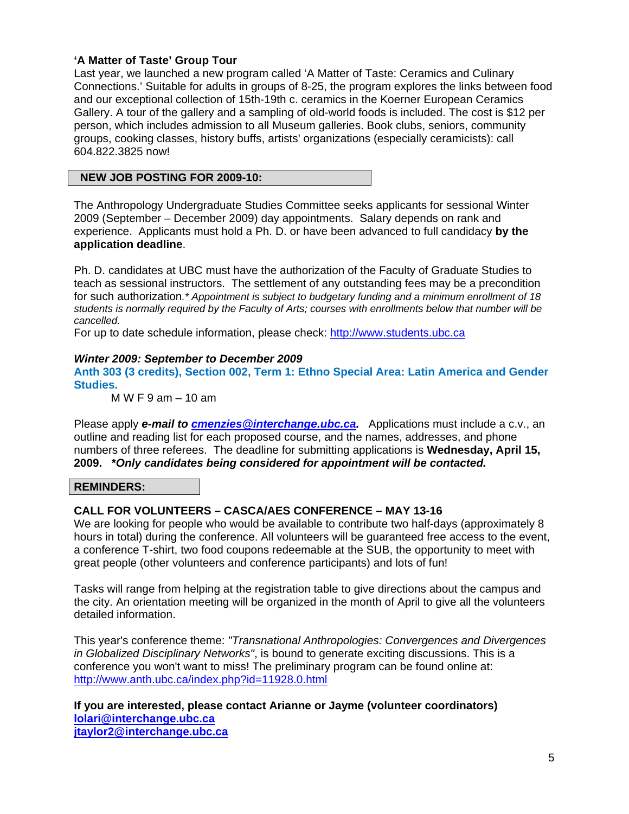# **'A Matter of Taste' Group Tour**

Last year, we launched a new program called 'A Matter of Taste: Ceramics and Culinary Connections.' Suitable for adults in groups of 8-25, the program explores the links between food and our exceptional collection of 15th-19th c. ceramics in the Koerner European Ceramics Gallery. A tour of the gallery and a sampling of old-world foods is included. The cost is \$12 per person, which includes admission to all Museum galleries. Book clubs, seniors, community groups, cooking classes, history buffs, artists' organizations (especially ceramicists): call 604.822.3825 now!

#### **NEW JOB POSTING FOR 2009-10:**

The Anthropology Undergraduate Studies Committee seeks applicants for sessional Winter 2009 (September – December 2009) day appointments. Salary depends on rank and experience. Applicants must hold a Ph. D. or have been advanced to full candidacy **by the application deadline**.

Ph. D. candidates at UBC must have the authorization of the Faculty of Graduate Studies to teach as sessional instructors. The settlement of any outstanding fees may be a precondition for such authorization*.\* Appointment is subject to budgetary funding and a minimum enrollment of 18 students is normally required by the Faculty of Arts; courses with enrollments below that number will be cancelled.* 

For up to date schedule information, please check: http://www.students.ubc.ca

#### *Winter 2009: September to December 2009*

**Anth 303 (3 credits), Section 002, Term 1: Ethno Special Area: Latin America and Gender Studies.** 

M W F 9 am – 10 am

Please apply **e-mail to** *cmenzies@interchange.ubc.ca*. Applications must include a c.v., an outline and reading list for each proposed course, and the names, addresses, and phone numbers of three referees. The deadline for submitting applications is **Wednesday, April 15, 2009. \****Only candidates being considered for appointment will be contacted.*

### **REMINDERS:**

## **CALL FOR VOLUNTEERS – CASCA/AES CONFERENCE – MAY 13-16**

We are looking for people who would be available to contribute two half-days (approximately 8 hours in total) during the conference. All volunteers will be guaranteed free access to the event, a conference T-shirt, two food coupons redeemable at the SUB, the opportunity to meet with great people (other volunteers and conference participants) and lots of fun!

Tasks will range from helping at the registration table to give directions about the campus and the city. An orientation meeting will be organized in the month of April to give all the volunteers detailed information.

This year's conference theme: *"Transnational Anthropologies: Convergences and Divergences in Globalized Disciplinary Networks"*, is bound to generate exciting discussions. This is a conference you won't want to miss! The preliminary program can be found online at: http://www.anth.ubc.ca/index.php?id=11928.0.html

**If you are interested, please contact Arianne or Jayme (volunteer coordinators) lolari@interchange.ubc.ca jtaylor2@interchange.ubc.ca**